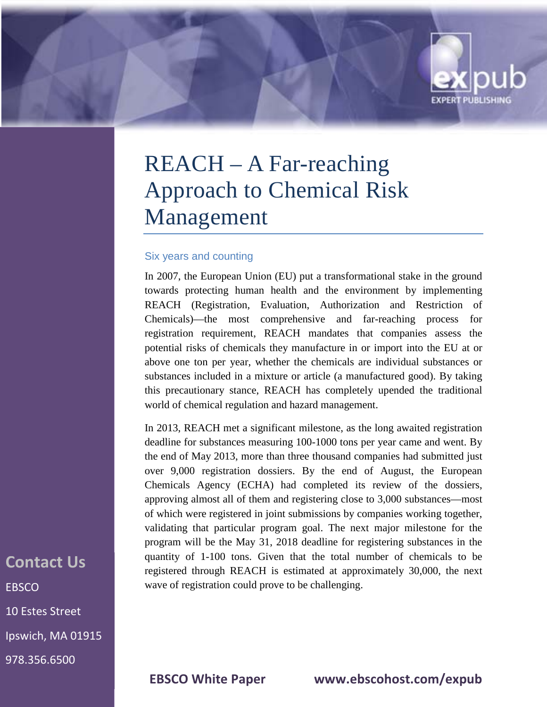# REACH – A Far-reaching Approach to Chemical Risk Management

#### Six years and counting

In 2007, the European Union (EU) put a transformational stake in the ground towards protecting human health and the environment by implementing REACH (Registration, Evaluation, Authorization and Restriction of Chemicals)—the most comprehensive and far-reaching process for registration requirement, REACH mandates that companies assess the potential risks of chemicals they manufacture in or import into the EU at or above one ton per year, whether the chemicals are individual substances or substances included in a mixture or article (a manufactured good). By taking this precautionary stance, REACH has completely upended the traditional world of chemical regulation and hazard management.

In 2013, REACH met a significant milestone, as the long awaited registration deadline for substances measuring 100-1000 tons per year came and went. By the end of May 2013, more than three thousand companies had submitted just over 9,000 registration dossiers. By the end of August, the European Chemicals Agency (ECHA) had completed its review of the dossiers, approving almost all of them and registering close to 3,000 substances—most of which were registered in joint submissions by companies working together, validating that particular program goal. The next major milestone for the program will be the May 31, 2018 deadline for registering substances in the quantity of 1-100 tons. Given that the total number of chemicals to be registered through REACH is estimated at approximately 30,000, the next wave of registration could prove to be challenging.

## **Contact Us EBSCO** 10 Estes Street Ipswich, MA 01915

978.356.6500

**EBSCO White Paper www.ebscohost.com/expub**

**EXPERT PUBLISHING**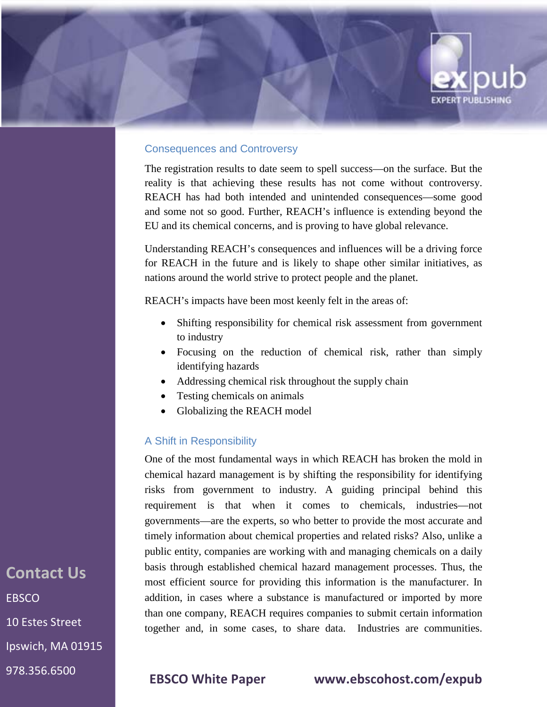

#### Consequences and Controversy

The registration results to date seem to spell success—on the surface. But the reality is that achieving these results has not come without controversy. REACH has had both intended and unintended consequences—some good and some not so good. Further, REACH's influence is extending beyond the EU and its chemical concerns, and is proving to have global relevance.

Understanding REACH's consequences and influences will be a driving force for REACH in the future and is likely to shape other similar initiatives, as nations around the world strive to protect people and the planet.

REACH's impacts have been most keenly felt in the areas of:

- Shifting responsibility for chemical risk assessment from government to industry
- Focusing on the reduction of chemical risk, rather than simply identifying hazards
- Addressing chemical risk throughout the supply chain
- Testing chemicals on animals
- Globalizing the REACH model

#### A Shift in Responsibility

One of the most fundamental ways in which REACH has broken the mold in chemical hazard management is by shifting the responsibility for identifying risks from government to industry. A guiding principal behind this requirement is that when it comes to chemicals, industries—not governments—are the experts, so who better to provide the most accurate and timely information about chemical properties and related risks? Also, unlike a public entity, companies are working with and managing chemicals on a daily basis through established chemical hazard management processes. Thus, the most efficient source for providing this information is the manufacturer. In addition, in cases where a substance is manufactured or imported by more than one company, REACH requires companies to submit certain information together and, in some cases, to share data. Industries are communities.

**Contact Us EBSCO** 10 Estes Street Ipswich, MA 01915 978.356.6500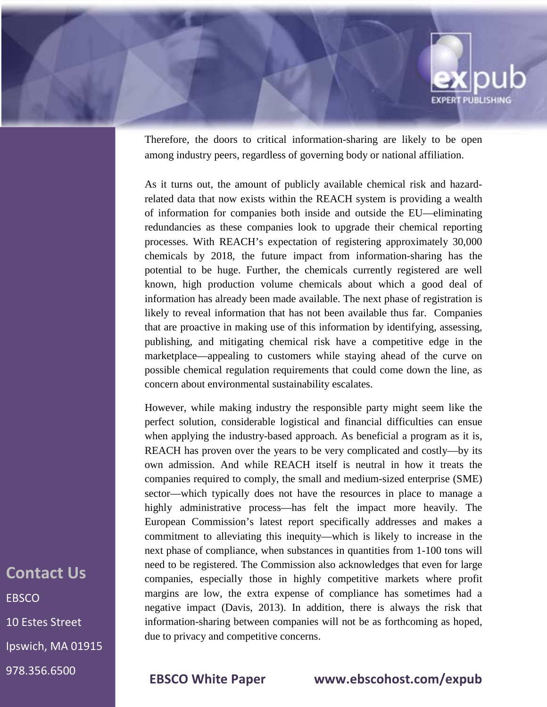

Therefore, the doors to critical information-sharing are likely to be open among industry peers, regardless of governing body or national affiliation.

As it turns out, the amount of publicly available chemical risk and hazardrelated data that now exists within the REACH system is providing a wealth of information for companies both inside and outside the EU—eliminating redundancies as these companies look to upgrade their chemical reporting processes. With REACH's expectation of registering approximately 30,000 chemicals by 2018, the future impact from information-sharing has the potential to be huge. Further, the chemicals currently registered are well known, high production volume chemicals about which a good deal of information has already been made available. The next phase of registration is likely to reveal information that has not been available thus far. Companies that are proactive in making use of this information by identifying, assessing, publishing, and mitigating chemical risk have a competitive edge in the marketplace—appealing to customers while staying ahead of the curve on possible chemical regulation requirements that could come down the line, as concern about environmental sustainability escalates.

However, while making industry the responsible party might seem like the perfect solution, considerable logistical and financial difficulties can ensue when applying the industry-based approach. As beneficial a program as it is, REACH has proven over the years to be very complicated and costly—by its own admission. And while REACH itself is neutral in how it treats the companies required to comply, the small and medium-sized enterprise (SME) sector—which typically does not have the resources in place to manage a highly administrative process—has felt the impact more heavily. The European Commission's latest report specifically addresses and makes a commitment to alleviating this inequity—which is likely to increase in the next phase of compliance, when substances in quantities from 1-100 tons will need to be registered. The Commission also acknowledges that even for large companies, especially those in highly competitive markets where profit margins are low, the extra expense of compliance has sometimes had a negative impact (Davis, 2013). In addition, there is always the risk that information-sharing between companies will not be as forthcoming as hoped, due to privacy and competitive concerns.

**Contact Us EBSCO** 10 Estes Street Ipswich, MA 01915 978.356.6500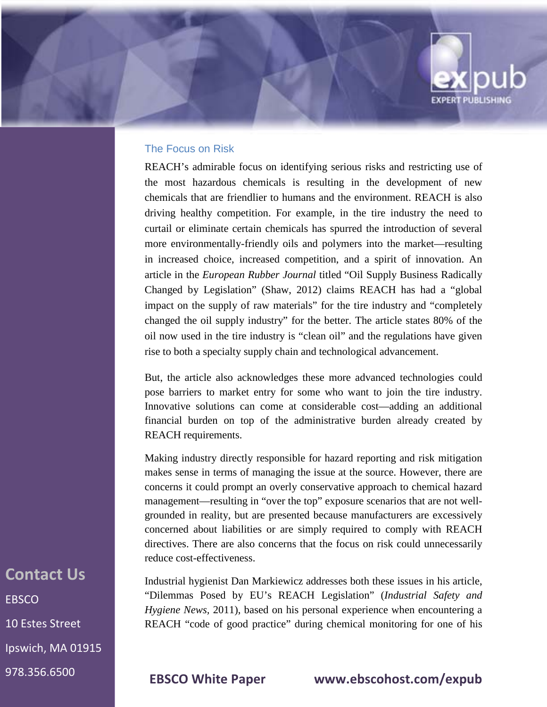

REACH's admirable focus on identifying serious risks and restricting use of the most hazardous chemicals is resulting in the development of new chemicals that are friendlier to humans and the environment. REACH is also driving healthy competition. For example, in the tire industry the need to curtail or eliminate certain chemicals has spurred the introduction of several more environmentally-friendly oils and polymers into the market—resulting in increased choice, increased competition, and a spirit of innovation. An article in the *European Rubber Journal* titled "Oil Supply Business Radically Changed by Legislation" (Shaw, 2012) claims REACH has had a "global impact on the supply of raw materials" for the tire industry and "completely changed the oil supply industry" for the better. The article states 80% of the oil now used in the tire industry is "clean oil" and the regulations have given rise to both a specialty supply chain and technological advancement.

**EXPERT PUBLISHING** 

But, the article also acknowledges these more advanced technologies could pose barriers to market entry for some who want to join the tire industry. Innovative solutions can come at considerable cost—adding an additional financial burden on top of the administrative burden already created by REACH requirements.

Making industry directly responsible for hazard reporting and risk mitigation makes sense in terms of managing the issue at the source. However, there are concerns it could prompt an overly conservative approach to chemical hazard management—resulting in "over the top" exposure scenarios that are not wellgrounded in reality, but are presented because manufacturers are excessively concerned about liabilities or are simply required to comply with REACH directives. There are also concerns that the focus on risk could unnecessarily reduce cost-effectiveness.

Industrial hygienist Dan Markiewicz addresses both these issues in his article, "Dilemmas Posed by EU's REACH Legislation" (*Industrial Safety and Hygiene News,* 2011), based on his personal experience when encountering a REACH "code of good practice" during chemical monitoring for one of his

**Contact Us EBSCO** 10 Estes Street Ipswich, MA 01915 978.356.6500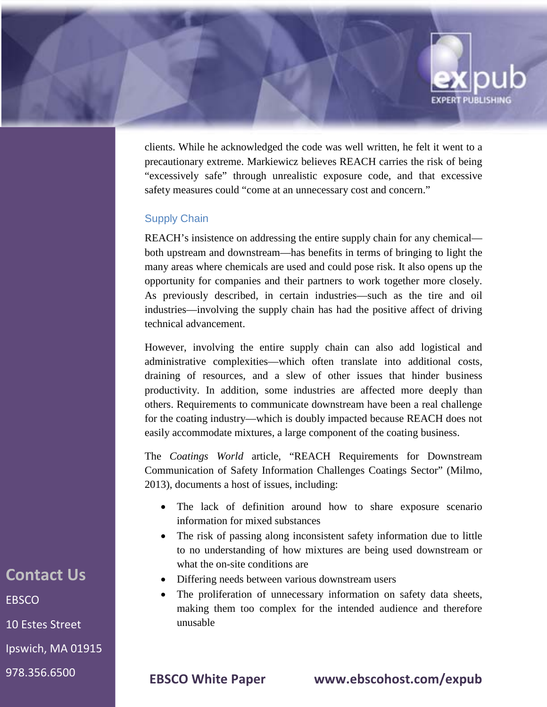

clients. While he acknowledged the code was well written, he felt it went to a precautionary extreme. Markiewicz believes REACH carries the risk of being "excessively safe" through unrealistic exposure code, and that excessive safety measures could "come at an unnecessary cost and concern."

#### Supply Chain

REACH's insistence on addressing the entire supply chain for any chemical both upstream and downstream—has benefits in terms of bringing to light the many areas where chemicals are used and could pose risk. It also opens up the opportunity for companies and their partners to work together more closely. As previously described, in certain industries—such as the tire and oil industries—involving the supply chain has had the positive affect of driving technical advancement.

However, involving the entire supply chain can also add logistical and administrative complexities—which often translate into additional costs, draining of resources, and a slew of other issues that hinder business productivity. In addition, some industries are affected more deeply than others. Requirements to communicate downstream have been a real challenge for the coating industry—which is doubly impacted because REACH does not easily accommodate mixtures, a large component of the coating business.

The *Coatings World* article, "REACH Requirements for Downstream Communication of Safety Information Challenges Coatings Sector" (Milmo, 2013), documents a host of issues, including:

- The lack of definition around how to share exposure scenario information for mixed substances
- The risk of passing along inconsistent safety information due to little to no understanding of how mixtures are being used downstream or what the on-site conditions are
- Differing needs between various downstream users
- The proliferation of unnecessary information on safety data sheets, making them too complex for the intended audience and therefore unusable

**Contact Us EBSCO** 10 Estes Street Ipswich, MA 01915

978.356.6500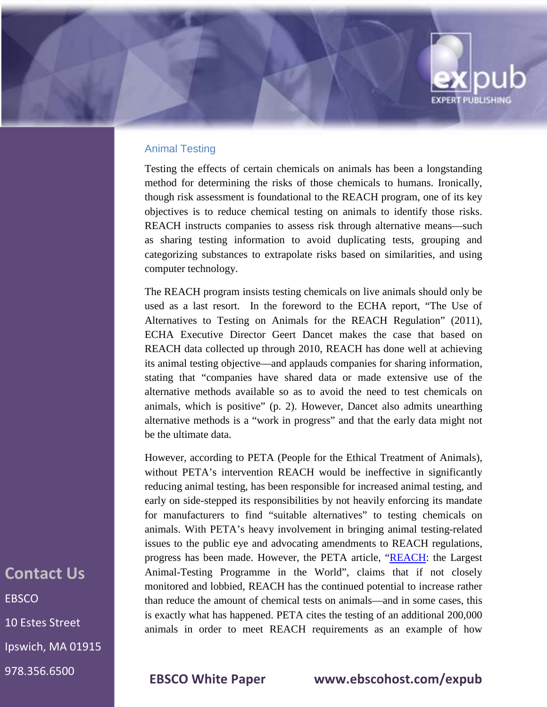

#### Animal Testing

Testing the effects of certain chemicals on animals has been a longstanding method for determining the risks of those chemicals to humans. Ironically, though risk assessment is foundational to the REACH program, one of its key objectives is to reduce chemical testing on animals to identify those risks. REACH instructs companies to assess risk through alternative means—such as sharing testing information to avoid duplicating tests, grouping and categorizing substances to extrapolate risks based on similarities, and using computer technology.

The REACH program insists testing chemicals on live animals should only be used as a last resort. In the foreword to the ECHA report, "The Use of Alternatives to Testing on Animals for the REACH Regulation" (2011), ECHA Executive Director Geert Dancet makes the case that based on REACH data collected up through 2010, REACH has done well at achieving its animal testing objective—and applauds companies for sharing information, stating that "companies have shared data or made extensive use of the alternative methods available so as to avoid the need to test chemicals on animals, which is positive" (p. 2). However, Dancet also admits unearthing alternative methods is a "work in progress" and that the early data might not be the ultimate data.

However, according to PETA (People for the Ethical Treatment of Animals), without PETA's intervention REACH would be ineffective in significantly reducing animal testing, has been responsible for increased animal testing, and early on side-stepped its responsibilities by not heavily enforcing its mandate for manufacturers to find "suitable alternatives" to testing chemicals on animals. With PETA's heavy involvement in bringing animal testing-related issues to the public eye and advocating amendments to REACH regulations, progress has been made. However, the PETA article, "REACH: the Largest Animal-Testing Programme in the World", claims that if not closely monitored and lobbied, REACH has the continued potential to increase rather than reduce the amount of chemical tests on animals—and in some cases, this is exactly what has happened. PETA cites the testing of an additional 200,000 animals in order to meet REACH requirements as an example of how

**Contact Us EBSCO** 10 Estes Street Ipswich, MA 01915 978.356.6500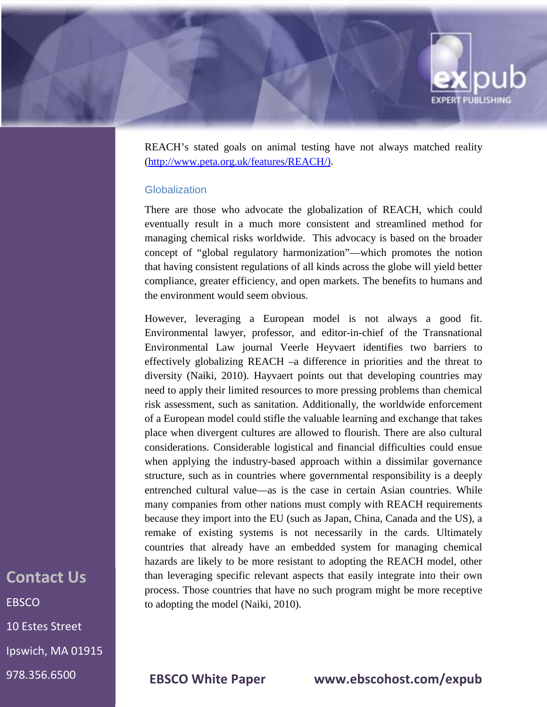

REACH's stated goals on animal testing have not always matched reality [\(http://www.peta.org.uk/features/REACH/\)](http://www.peta.org.uk/features/REACH/).

#### **Globalization**

There are those who advocate the globalization of REACH, which could eventually result in a much more consistent and streamlined method for managing chemical risks worldwide. This advocacy is based on the broader concept of "global regulatory harmonization"—which promotes the notion that having consistent regulations of all kinds across the globe will yield better compliance, greater efficiency, and open markets. The benefits to humans and the environment would seem obvious.

However, leveraging a European model is not always a good fit. Environmental lawyer, professor, and editor-in-chief of the Transnational Environmental Law journal Veerle Heyvaert identifies two barriers to effectively globalizing REACH –a difference in priorities and the threat to diversity (Naiki, 2010). Hayvaert points out that developing countries may need to apply their limited resources to more pressing problems than chemical risk assessment, such as sanitation. Additionally, the worldwide enforcement of a European model could stifle the valuable learning and exchange that takes place when divergent cultures are allowed to flourish. There are also cultural considerations. Considerable logistical and financial difficulties could ensue when applying the industry-based approach within a dissimilar governance structure, such as in countries where governmental responsibility is a deeply entrenched cultural value—as is the case in certain Asian countries. While many companies from other nations must comply with REACH requirements because they import into the EU (such as Japan, China, Canada and the US), a remake of existing systems is not necessarily in the cards. Ultimately countries that already have an embedded system for managing chemical hazards are likely to be more resistant to adopting the REACH model, other than leveraging specific relevant aspects that easily integrate into their own process. Those countries that have no such program might be more receptive to adopting the model (Naiki, 2010).

## **Contact Us EBSCO** 10 Estes Street Ipswich, MA 01915 978.356.6500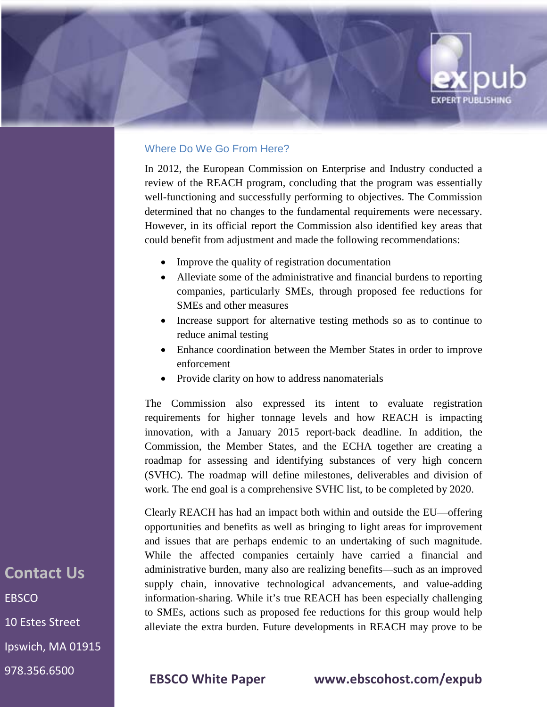# **EXPERT PUBLISHING**

### Where Do We Go From Here?

In 2012, the European Commission on Enterprise and Industry conducted a review of the REACH program, concluding that the program was essentially well-functioning and successfully performing to objectives. The Commission determined that no changes to the fundamental requirements were necessary. However, in its official report the Commission also identified key areas that could benefit from adjustment and made the following recommendations:

- Improve the quality of registration documentation
- Alleviate some of the administrative and financial burdens to reporting companies, particularly SMEs, through proposed fee reductions for SMEs and other measures
- Increase support for alternative testing methods so as to continue to reduce animal testing
- Enhance coordination between the Member States in order to improve enforcement
- Provide clarity on how to address nanomaterials

The Commission also expressed its intent to evaluate registration requirements for higher tonnage levels and how REACH is impacting innovation, with a January 2015 report-back deadline. In addition, the Commission, the Member States, and the ECHA together are creating a roadmap for assessing and identifying substances of very high concern (SVHC). The roadmap will define milestones, deliverables and division of work. The end goal is a comprehensive SVHC list, to be completed by 2020.

Clearly REACH has had an impact both within and outside the EU—offering opportunities and benefits as well as bringing to light areas for improvement and issues that are perhaps endemic to an undertaking of such magnitude. While the affected companies certainly have carried a financial and administrative burden, many also are realizing benefits—such as an improved supply chain, innovative technological advancements, and value-adding information-sharing. While it's true REACH has been especially challenging to SMEs, actions such as proposed fee reductions for this group would help alleviate the extra burden. Future developments in REACH may prove to be

**Contact Us EBSCO** 10 Estes Street Ipswich, MA 01915 978.356.6500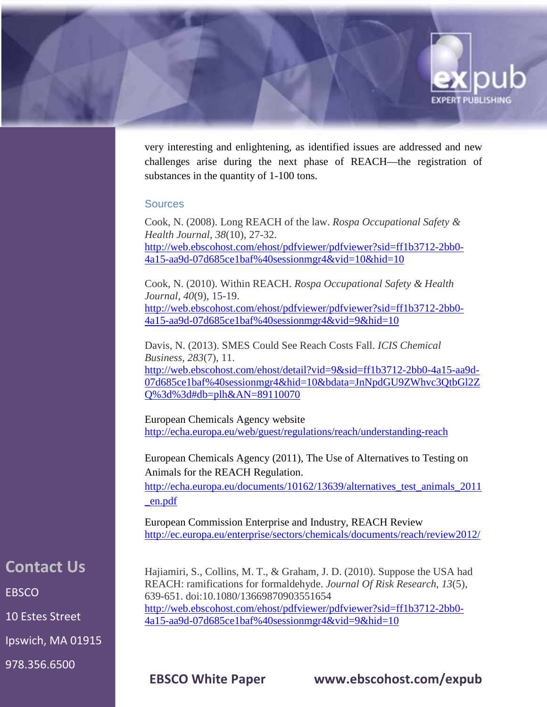

very interesting and enlightening, as identified issues are addressed and new challenges arise during the next phase of REACH—the registration of substances in the quantity of 1-100 tons.

#### **Sources**

Cook, N. (2008). Long REACH of the law. *Rospa Occupational Safety & Health Journal*, *38*(10), 27-32. [http://web.ebscohost.com/ehost/pdfviewer/pdfviewer?sid=ff1b3712-2bb0-](http://web.ebscohost.com/ehost/pdfviewer/pdfviewer?sid=ff1b3712-2bb0-4a15-aa9d-07d685ce1baf%40sessionmgr4&vid=10&hid=10) [4a15-aa9d-07d685ce1baf%40sessionmgr4&vid=10&hid=10](http://web.ebscohost.com/ehost/pdfviewer/pdfviewer?sid=ff1b3712-2bb0-4a15-aa9d-07d685ce1baf%40sessionmgr4&vid=10&hid=10)

Cook, N. (2010). Within REACH. *Rospa Occupational Safety & Health Journal*, *40*(9), 15-19. [http://web.ebscohost.com/ehost/pdfviewer/pdfviewer?sid=ff1b3712-2bb0-](http://web.ebscohost.com/ehost/pdfviewer/pdfviewer?sid=ff1b3712-2bb0-4a15-aa9d-07d685ce1baf%40sessionmgr4&vid=9&hid=10) [4a15-aa9d-07d685ce1baf%40sessionmgr4&vid=9&hid=10](http://web.ebscohost.com/ehost/pdfviewer/pdfviewer?sid=ff1b3712-2bb0-4a15-aa9d-07d685ce1baf%40sessionmgr4&vid=9&hid=10)

Davis, N. (2013). SMES Could See Reach Costs Fall. *ICIS Chemical Business*, *283*(7), 11. [http://web.ebscohost.com/ehost/detail?vid=9&sid=ff1b3712-2bb0-4a15-aa9d-](http://web.ebscohost.com/ehost/detail?vid=9&sid=ff1b3712-2bb0-4a15-aa9d-07d685ce1baf%40sessionmgr4&hid=10&bdata=JnNpdGU9ZWhvc3QtbGl2ZQ%3d%3d#db=plh&AN=89110070)[07d685ce1baf%40sessionmgr4&hid=10&bdata=JnNpdGU9ZWhvc3QtbGl2Z](http://web.ebscohost.com/ehost/detail?vid=9&sid=ff1b3712-2bb0-4a15-aa9d-07d685ce1baf%40sessionmgr4&hid=10&bdata=JnNpdGU9ZWhvc3QtbGl2ZQ%3d%3d#db=plh&AN=89110070) [Q%3d%3d#db=plh&AN=89110070](http://web.ebscohost.com/ehost/detail?vid=9&sid=ff1b3712-2bb0-4a15-aa9d-07d685ce1baf%40sessionmgr4&hid=10&bdata=JnNpdGU9ZWhvc3QtbGl2ZQ%3d%3d#db=plh&AN=89110070)

European Chemicals Agency website <http://echa.europa.eu/web/guest/regulations/reach/understanding-reach>

European Chemicals Agency (2011), The Use of Alternatives to Testing on Animals for the REACH Regulation.

http://echa.europa.eu/documents/10162/13639/alternatives test animals 2011 [\\_en.pdf](http://echa.europa.eu/documents/10162/13639/alternatives_test_animals_2011_en.pdf)

European Commission Enterprise and Industry, REACH Review <http://ec.europa.eu/enterprise/sectors/chemicals/documents/reach/review2012/>

Hajiamiri, S., Collins, M. T., & Graham, J. D. (2010). Suppose the USA had REACH: ramifications for formaldehyde. *Journal Of Risk Research*, *13*(5), 639-651. doi:10.1080/13669870903551654 [http://web.ebscohost.com/ehost/pdfviewer/pdfviewer?sid=ff1b3712-2bb0-](http://web.ebscohost.com/ehost/pdfviewer/pdfviewer?sid=ff1b3712-2bb0-4a15-aa9d-07d685ce1baf%40sessionmgr4&vid=9&hid=10) [4a15-aa9d-07d685ce1baf%40sessionmgr4&vid=9&hid=10](http://web.ebscohost.com/ehost/pdfviewer/pdfviewer?sid=ff1b3712-2bb0-4a15-aa9d-07d685ce1baf%40sessionmgr4&vid=9&hid=10)

**Contact Us EBSCO** 

10 Estes Street

Ipswich, MA 01915

978.356.6500